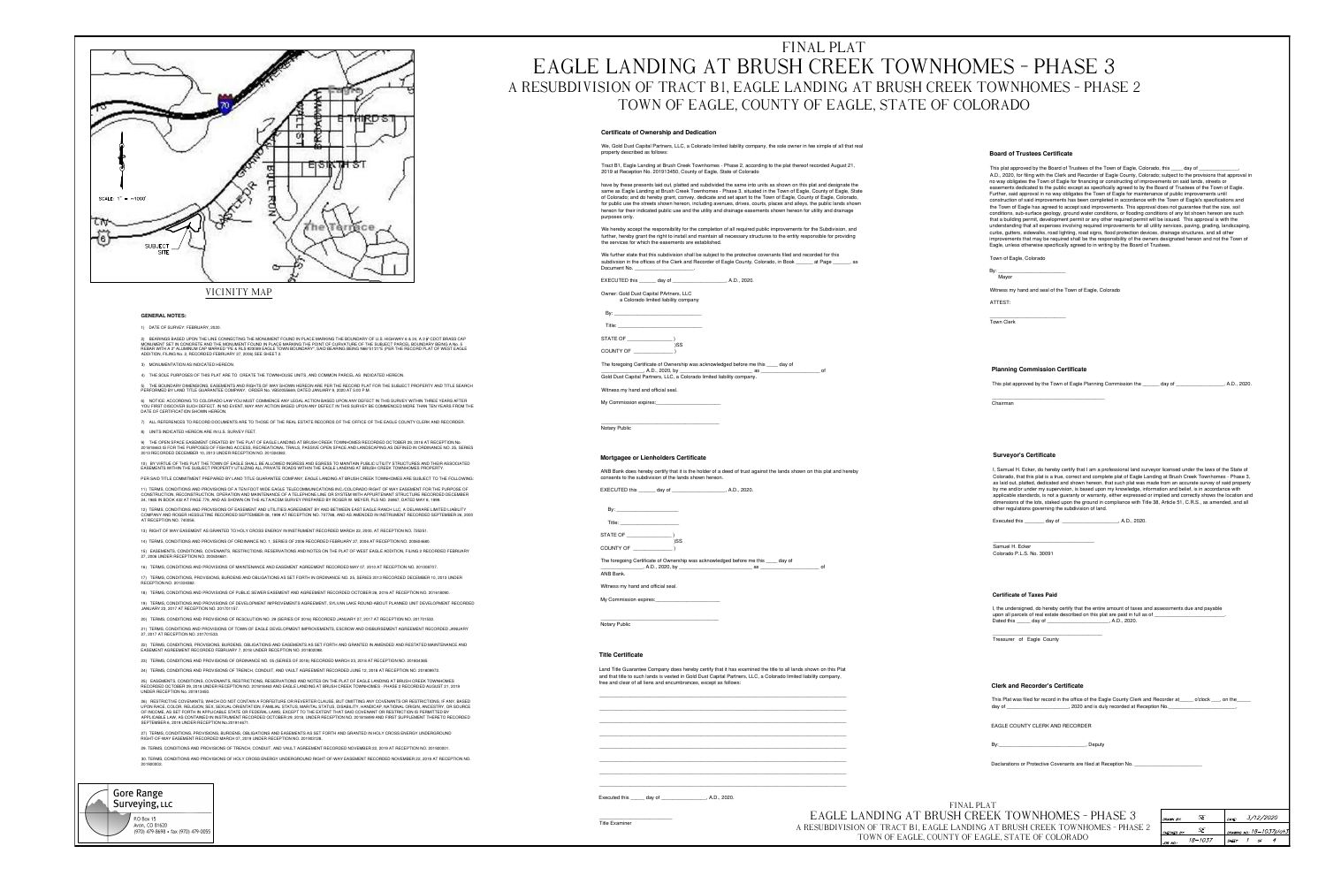

## **VICINITY MAP**

#### **GENERAL NOTES:**

#### 1) DATE OF SURVEY: FEBRUARY, 2020.

2) BEARINGS BASED UPON THE LINE CONNECTING THE MONUMENT FOUND IN PLACE MARKING THE BOUNDARY OF U.S. HIGHWAY 6 & 24, A 2  $\frac{1}{2}$ " CDOT BRASS CAP MONUMENT SET IN CONCRETE AND THE MONUMENT FOUND IN PLACE MARKING THE POINT OF CURVATURE OF THE SUBJECT PARCEL BOUNDARY BEING A No. 5 REBAR WITH A 2" ALUMINUM CAP MARKED "PE & RLS #23089 EAGLE TOWN BOUNDARY", SAID BEARING BEING N66°51'21"E (PER THE RECORD PLAT OF WEST EAGLE ADDITION, FILING No. 2, RECORDED FEBRUARY 27, 2006) SEE SHEET 2.

3) MONUMENTATION AS INDICATED HEREON.

4) THE SOLE PURPOSES OF THIS PLAT ARE TO CREATE THE TOWNHOUSE UNITS, AND COMMON PARCEL AS INDICATED HEREON.

5) THE BOUNDARY DIMENSIONS, EASEMENTS AND RIGHTS OF WAY SHOWN HEREON ARE PER THE RECORD PLAT FOR THE SUBJECT PROPERTY AND TITLE SEARCH PERFORMED BY LAND TITLE GUARANTEE COMPANY, ORDER No. VB50055669, DATED JANUARY 9, 2020 AT 5:00 P.M.

6) NOTICE: ACCORDING TO COLORADO LAW YOU MUST COMMENCE ANY LEGAL ACTION BASED UPON ANY DEFECT IN THIS SURVEY WITHIN THREE YEARS AFTER YOU FIRST DISCOVER SUCH DEFECT. IN NO EVENT, MAY ANY ACTION BASED UPON ANY DEFECT IN THIS SURVEY BE COMMENCED MORE THAN TEN YEARS FROM THE DATE OF CERTIFICATION SHOWN HEREON.

7) ALL REFERENCES TO RECORD DOCUMENTS ARE TO THOSE OF THE REAL ESTATE RECORDS OF THE OFFICE OF THE EAGLE COUNTY CLERK AND RECORDER.

8) UNITS INDICATED HEREON ARE IN U.S. SURVEY FEET.

9) THE OPEN SPACE EASEMENT CREATED BY THE PLAT OF EAGLE LANDING AT BRUSH CREEK TOWNHOMES RECORDED OCTOBER 29, 2018 AT RECEPTION No. 201818463 IS FOR THE PURPOSES OF FISHING ACCESS, RECREATIONAL TRAILS, PASSIVE OPEN SPACE AND LANDSCAPING AS DEFINED IN ORDINANCE NO. 25, SERIES 2013 RECORDED DECEMBER 10, 2013 UNDER RECEPTION NO. 201324382.

10) BY VIRTUE OF THIS PLAT THE TOWN OF EAGLE SHALL BE ALLOWED INGRESS AND EGRESS TO MAINTAIN PUBLIC UTILITY STRUCTURES AND THEIR ASSOCIATED EASEMENTS WITHIN THE SUBJECT PROPERTY UTILIZING ALL PRIVATE ROADS WITHIN THE EAGLE LANDING AT BRUSH CREEK TOWNHOMES PROPERTY.

PER SAID TITLE COMMITMENT PREPARED BY LAND TITLE GUARANTEE COMPANY, EAGLE LANDING AT BRUSH CREEK TOWNHOMES ARE SUBJECT TO THE FOLLOWING: 11) TERMS, CONDITIONS AND PROVISIONS OF A TEN FOOT WIDE EAGLE TELECOMMUNICATIONS INC./COLORADO RIGHT OF WAY EASEMENT FOR THE PURPOSE OF CONSTRUCTION, RECONSTRUCTION, OPERATION AND MAINTENANCE OF A TELEPHONE LINE OR SYSTEM WITH APPURTENANT STRUCTURE RECORDED DECEMBER

24, 1985 IN BOOK 432 AT PAGE 779, AND AS SHOWN ON THE ALTA/ACSM SURVEY PREPARED BY ROGER W. MEYER, PLS NO. 26967, DATED MAY 8, 1999. 12) TERMS, CONDITIONS AND PROVISIONS OF EASEMENT AND UTILITIES AGREEMENT BY AND BETWEEN EAST EAGLE RANCH LLC. A DELAWARE LIMITED LIABILITY COMPANY AND ROGER HESSLETINE RECORDED SEPTEMBER 08, 1999 AT RECEPTION NO. 707788, AND AS AMENDED IN INSTRUMENT RECORDED SEPTEMBER 26, 2000

AT RECEPTION NO. 740056

13) RIGHT OF WAY EASEMENT AS GRANTED TO HOLY CROSS ENERGY IN INSTRUMENT RECORDED MARCH 22, 2000, AT RECEPTION NO. 725251.

14) TERMS, CONDITIONS AND PROVISIONS OF ORDINANCE NO. 1, SERIES OF 2006 RECORDED FEBRUARY 27, 2006 AT RECEPTION NO. 200604680. 15) EASEMENTS, CONDITIONS, COVENANTS, RESTRICTIONS, RESERVATIONS AND NOTES ON THE PLAT OF WEST EAGLE ADDITION, FILING 2 RECORDED FEBRUARY

27, 2006 UNDER RECEPTION NO. 200604681.

16) TERMS, CONDITIONS AND PROVISIONS OF MAINTENANCE AND EASEMENT AGREEMENT RECORDED MAY 07, 2010 AT RECEPTION NO. 201008707. 17) TERMS, CONDITIONS, PROVISIONS, BURDENS AND OBLIGATIONS AS SET FORTH IN ORDINANCE NO. 25, SERIES 2013 RECORDED DECEMBER 10, 2013 UNDER RECEPTION NO. 201324382.

18) TERMS, CONDITIONS AND PROVISIONS OF PUBLIC SEWER EASEMENT AND AGREEMENT RECORDED OCTOBER 26, 2016 AT RECEPTION NO. 201618090.

19) TERMS, CONDITIONS AND PROVISIONS OF DEVELOPMENT IMPROVEMENTS AGREEMENT, SYLVAN LAKE ROUND-ABOUT PLANNED UNIT DEVELOPMENT RECORDED JANUARY 23, 2017 AT RECEPTION NO. 201701157.

20) TERMS, CONDITIONS AND PROVISIONS OF RESOLUTION NO. 29 (SERIES OF 2016) RECORDED JANUARY 27, 2017 AT RECEPTION NO. 201701532.

21) TERMS, CONDITIONS AND PROVISIONS OF TOWN OF EAGLE DEVELOPMENT IMPROVEMENTS, ESCROW AND DISBURSEMENT AGREEMENT RECORDED JANUARY 27, 2017 AT RECEPTION NO. 201701533.

22) TERMS, CONDITIONS, PROVISIONS, BURDENS, OBLIGATIONS AND EASEMENTS AS SET FORTH AND GRANTED IN AMENDED AND RESTATED MAINTENANCE AND EASEMENT AGREEMENT RECORDED FEBRUARY 7, 2018 UNDER RECEPTION NO. 201802098.

23) TERMS, CONDITIONS AND PROVISIONS OF ORDINANCE NO. 05 (SERIES OF 2018) RECORDED MARCH 23, 2018 AT RECEPTION NO. 201804385.

24) TERMS, CONDITIONS AND PROVISIONS OF TRENCH, CONDUIT, AND VAULT AGREEMENT RECORDED JUNE 12, 2018 AT RECEPTION NO. 201809972.

25) EASEMENTS, CONDITIONS, COVENANTS, RESTRICTIONS, RESERVATIONS AND NOTES ON THE PLAT OF EAGLE LANDING AT BRUSH CREEK TOWNHOMES RECORDED OCTOBER 29, 2018 UNDER RECEPTION NO. 201818463 AND EAGLE LANDING AT BRUSH CREEK TOWNHOMES - PHASE 2 RECORDED AUGUST 21, 2019 UNDER RECEPTION No. 201913450.

26) RESTRICTIVE COVENANTS, WHICH DO NOT CONTAIN A FORFEITURE OR REVERTER CLAUSE, BUT OMITTING ANY COVENANTS OR RESTRICTIONS, IF ANY, BASED UPON RACE, COLOR, RELIGION, SEX, SEXUAL ORIENTATION, FAMILIAL STATUS, MARITAL STATUS, DISABILITY, HANDICAP, NATIONAL ORIGIN, ANCESTRY, OR SOURCE OF INCOME, AS SET FORTH IN APPLICABLE STATE OR FEDERAL LAWS, EXCEPT TO THE EXTENT THAT SAID COVENANT OR RESTRICTION IS PERMITTED BY APPLICABLE LAW, AS CONTAINED IN INSTRUMENT RECORDED OCTOBER 29, 2018, UNDER RECEPTION NO. 201818499 AND FIRST SUPPLEMENT THERETO RECORDED SEPTEMBER 6, 2019 UNDER RECEPTION No.201914671.

27) TERMS, CONDITIONS, PROVISIONS, BURDENS, OBLIGATIONS AND EASEMENTS AS SET FORTH AND GRANTED IN HOLY CROSS ENERGY UNDERGROUND RIGHT-OF-WAY EASEMENT RECORDED MARCH 07, 2019 UNDER RECEPTION NO. 201903128.

29. TERMS, CONDITIONS AND PROVISIONS OF TRENCH, CONDUIT, AND VAULT AGREEMENT RECORDED NOVEMBER 22, 2019 AT RECEPTION NO. 201920001.

30. TERMS, CONDITIONS AND PROVISIONS OF HOLY CROSS ENERGY UNDERGROUND RIGHT-OF-WAY EASEMENT RECORDED NOVEMBER 22, 2019 AT RECEPTION NO. 201920002.

### **Gore Range** Surveying, LLC

P.O Box 15 Avon, CO 81620 (970) 479-8698 · fax (970) 479-0055

# FINAL PLAT EAGLE LANDING AT BRUSH CREEK TOWNHOMES - PHASE 3 A RESUBDIVISION OF TRACT B1, EAGLE LANDING AT BRUSH CREEK TOWNHOMES - PHASE 2 TOWN OF EAGLE, COUNTY OF EAGLE, STATE OF COLORADO

#### **Certificate of Ownership and Dedication**

We, Gold Dust Capital Partners, LLC, a Colorado limited liability company, the sole owner in fee simple of all that real property described as follows:

Tract B1, Eagle Landing at Brush Creek Townhomes - Phase 2, according to the plat thereof recorded August 21, 2019 at Reception No. 201913450, County of Eagle, State of Colorado

have by these presents laid out, platted and subdivided the same into units as shown on this plat and designate the same as Eagle Landing at Brush Creek Townhomes - Phase 3, situated in the Town of Eagle, County of Eagle, State of Colorado; and do hereby grant, convey, dedicate and set apart to the Town of Eagle, County of Eagle, Colorado, for public use the streets shown hereon, including avenues, drives, courts, places and alleys, the public lands shown hereon for their indicated public use and the utility and drainage easements shown hereon for utility and drainage purposes only.

We hereby accept the responsibility for the completion of all required public improvements for the Subdivision, and further, hereby grant the right to install and maintain all necessary structures to the entity responsible for providing the services for which the easements are established.

We further state that this subdivision shall be subject to the protective covenants filed and recorded for this subdivsion in the offices of the Clerk and Recorder of Eagle County, Colorado, in Book \_\_\_\_\_\_ at Page \_\_\_\_\_, as Document No.

EXECUTED this \_\_\_\_\_\_\_ day of \_\_\_\_\_\_\_\_\_\_ , A.D., 2020.

Owner: Gold Dust Capital PArtners, LLC a Colorado limited liability company

**STATE OF** 

COUNTY OF

The foregoing Certificate of Ownership was acknowledged before me this \_\_\_\_ day of , A.D., 2020, by \_\_ Gold Dust Capital Partners, LLC, a Colorado limited liability company.

Witness my hand and official seal.

My Commission expires:

**Notary Public** 

### Mortgagee or Lienholders Certificate

ANB Bank does hereby certify that it is the holder of a deed of trust against the lands shown on this plat and hereby consents to the subdivision of the lands shown hereon.

EXECUTED this \_\_\_\_\_\_\_ day of \_\_\_\_\_\_\_\_\_\_ . A.D., 2020.

STATE OF

**COUNTY OF** 

The foregoing Certificate of Ownership was acknowledged before me this \_\_\_\_\_ day of \_, A.D., 2020, by \_

ANB Bank.

Witness my hand and official seal.

My Commission expires:

Notary Public

#### **Title Certificate**

Land Title Guarantee Company does hereby certify that it has examined the title to all lands shown on this Plat and that title to such lands is vested in Gold Dust Capital Partners, LLC, a Colorado limited liability company, free and clear of all liens and encumbrances, except as follows:

Executed this day of , A.D., 2020.

**Title Examiner** 

**FINAL PLAT** EAGLE LANDING AT BRUSH CREEK TOWNHOMES - PHASE 3 A RESUBDIVISION OF TRACT B1, EAGLE LANDING AT BRUSH CREEK TOWNHOMES - PHASE 2 TOWN OF EAGLE, COUNTY OF EAGLE, STATE OF COLORADO

#### **Board of Trustees Certificate**

This plat approved by the Board of Trustees of the Town of Eagle, Colorado, this \_\_\_\_ day of A.D., 2020, for filing with the Clerk and Recorder of Eagle County, Colorado; subject to the provisions that approval in no way obligates the Town of Eagle for financing or constructing of improvements on said lands, streets or easements dedicated to the public except as specifically agreed to by the Board of Trustees of the Town of Eagle. Further, said approval in no way obligates the Town of Eagle for maintenance of public improvements until construction of said improvements has been completed in accordance with the Town of Eagle's specifications and the Town of Eagle has agreed to accept said improvements. This approval does not guarantee that the size, soil conditions, sub-surface geology, ground water conditions, or flooding conditions of any lot shown hereon are such that a building permit, development permit or any other required permit will be issued. This approval is with the understanding that all expenses involving required improvements for all utility services, paving, grading, landscaping, curbs, gutters, sidewalks, road lighting, road signs, flood protection devices, drainage structures, and all other improvements that may be required shall be the responsibility of the owners designated hereon and not the Town of Eagle, unless otherwise specifically agreed to in writing by the Board of Trustees.

Town of Eagle, Colorado

Witness my hand and seal of the Town of Eagle, Colorado

ATTEST:

**Town Clerk** 

#### **Planning Commission Certificate**

#### This plat approved by the Town of Eagle Planning Commission the \_\_\_\_\_\_ day of \_\_\_\_\_\_\_\_\_\_\_\_

Chairman

### **Survevor's Certificate**

I, Samuel H. Ecker, do hereby certify that I am a professional land surveyor licensed under the laws of the State of Colorado, that this plat is a true, correct and complete plat of Eagle Landing at Brush Creek Townhomes - Phase 3, as laid out, platted, dedicated and shown hereon, that such plat was made from an accurate survey of said property by me and/or under my supervision, is based upon my knowledge, information and belief, is in accordance with applicable standards, is not a guaranty or warranty, either expressed or implied and correctly shows the location and dimensions of the lots, staked upon the ground in compliance with Title 38, Article 51, C.R.S., as amended, and all other regulations governing the subdivision of land.

Executed this \_\_\_\_\_\_\_\_ day of \_\_\_\_\_\_\_\_\_\_\_\_\_\_\_\_

, A.D., 2020.

Samuel H. Ecker Colorado P.L.S. No. 30091

**Certificate of Taxes Paid** 

I, the undersigned, do hereby certify that the entire amount of taxes and assessments due and payable upon all parcels of real estate described on this plat are paid in full as of \_\_ Dated this \_\_\_\_\_\_ day of \_\_\_\_\_ , A.D., 2020.

Treasurer of Eagle County

### **Clerk and Recorder's Certificate**

This Plat was filed for record in the office of the Eagle County Clerk and Recorder at \_\_\_\_\_ o'clock \_\_\_, on the day of \_\_\_\_\_\_\_\_\_\_\_\_\_\_\_\_\_\_\_\_\_\_\_, 2020 and is duly recorded at Reception No.

EAGLE COUNTY CLERK AND RECORDER

. Deputv

Declarations or Protective Covenants are filed at Reception No.

| DRAWN RY:   |         | DATE:        | 3/12/2020 |                           |  |
|-------------|---------|--------------|-----------|---------------------------|--|
| CHECKED BY: | .SE     |              |           | DRAWING NO.: 18-1037plat3 |  |
| JOB NO.:    | 18–1037 | <b>SHEET</b> |           |                           |  |

, A.D., 2020.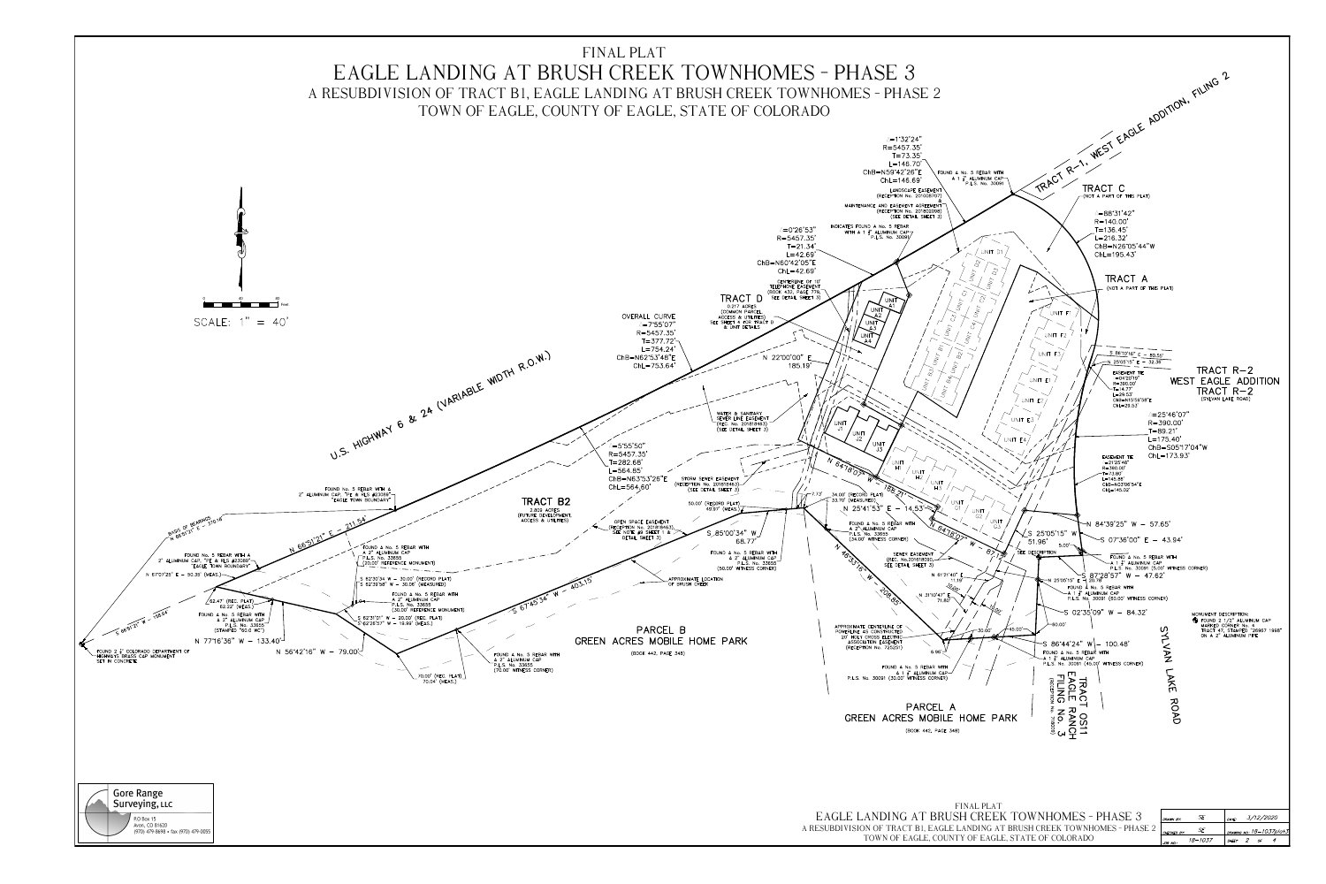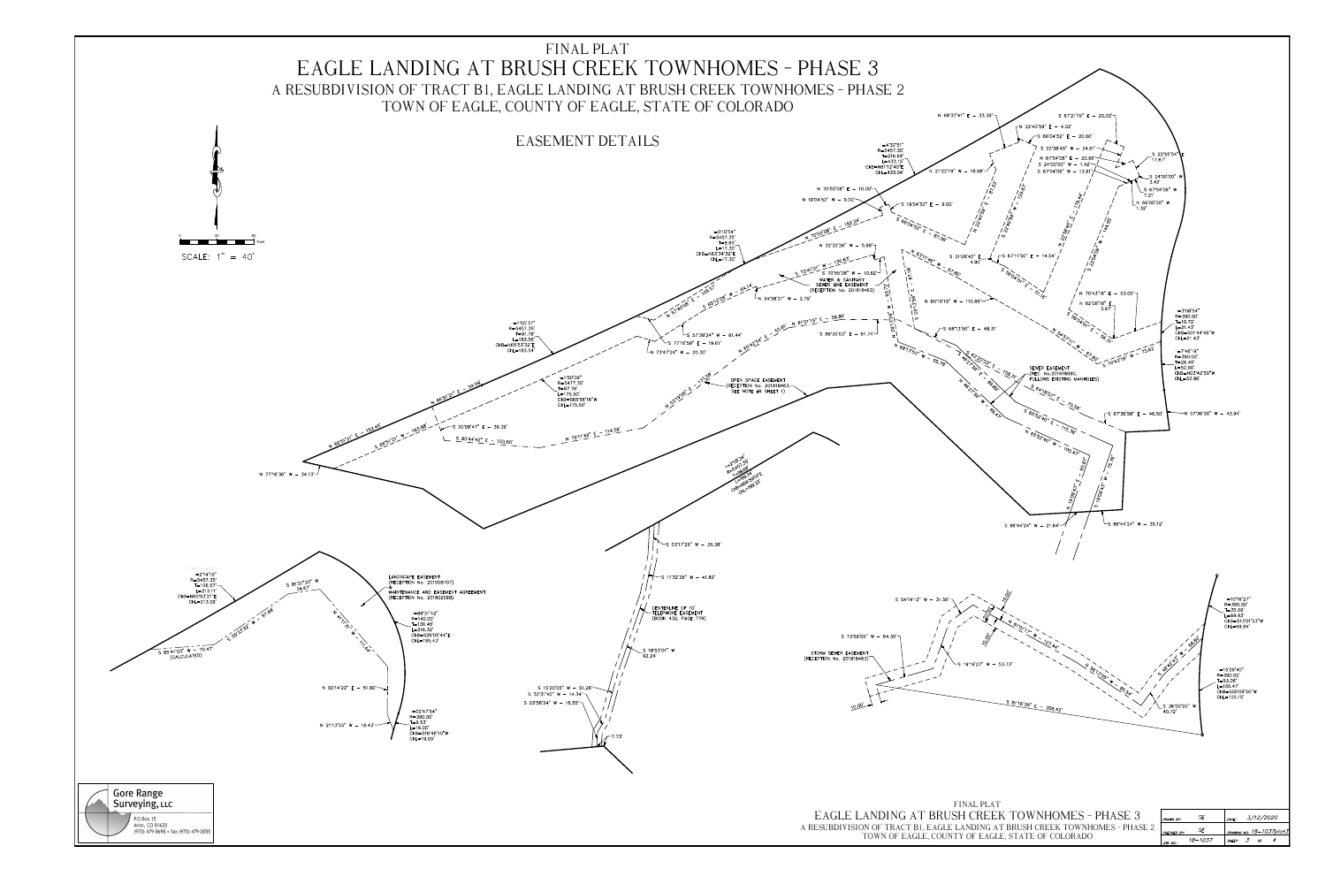